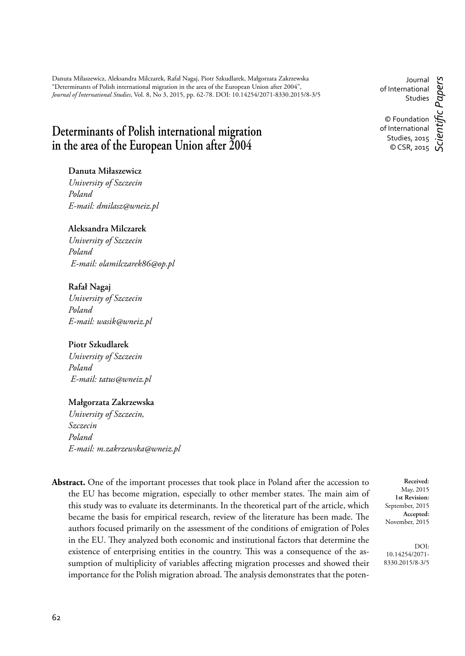Danuta Miłaszewicz, Aleksandra Milczarek, Rafał Nagaj, Piotr Szkudlarek, Małgorzata Zakrzewska "Determinants of Polish international migration in the area of the European Union after 2004", *Journal of International Studies*, Vol. 8, No 3, 2015, pp. 62-78. DOI: 10.14254/2071-8330.2015/8-3/5

# **Determinants of Polish international migration in the area of the European Union after 2004**

# **Danuta Miłaszewicz**

*University of Szczecin Poland E-mail: dmilasz@wneiz.pl*

# **Aleksandra Milczarek**

*University of Szczecin Poland E-mail: olamilczarek86@op.pl*

# **Rafał Nagaj**

*University of Szczecin Poland E-mail: wasik@wneiz.pl*

# **Piotr Szkudlarek**

*University of Szczecin Poland E-mail: tatus@wneiz.pl*

#### **Małgorzata Zakrzewska**

*University of Szczecin, Szczecin Poland E-mail: m.zakrzewska@wneiz.pl*

**Abstract.** One of the important processes that took place in Poland after the accession to the EU has become migration, especially to other member states. The main aim of this study was to evaluate its determinants. In the theoretical part of the article, which became the basis for empirical research, review of the literature has been made. The authors focused primarily on the assessment of the conditions of emigration of Poles in the EU. They analyzed both economic and institutional factors that determine the existence of enterprising entities in the country. This was a consequence of the assumption of multiplicity of variables affecting migration processes and showed their importance for the Polish migration abroad. The analysis demonstrates that the poten-

Journal of International Studies © Foundation of International Studies, 2015 © CSR, 2015 *Scientifi c Papers*

**Received**: May, 2015 **1st Revision:** September, 2015 **Accepted:** November, 2015

DOI: 10.14254/2071- 8330.2015/8-3/5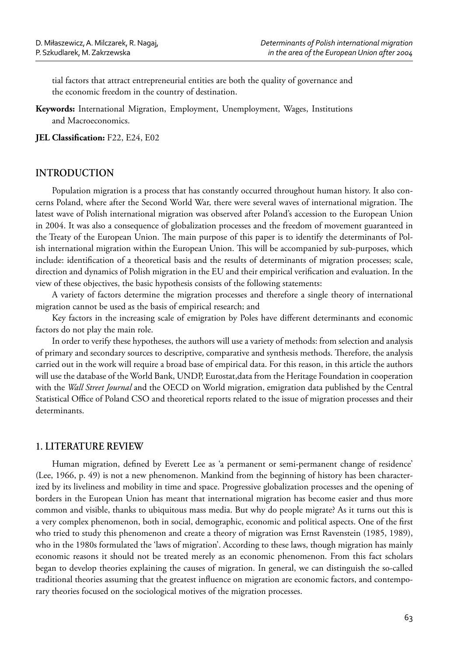tial factors that attract entrepreneurial entities are both the quality of governance and the economic freedom in the country of destination.

**Keywords:** International Migration, Employment, Unemployment, Wages, Institutions and Macroeconomics.

**JEL Classification: F22, E24, E02** 

#### **INTRODUCTION**

Population migration is a process that has constantly occurred throughout human history. It also concerns Poland, where after the Second World War, there were several waves of international migration. The latest wave of Polish international migration was observed after Poland's accession to the European Union in 2004. It was also a consequence of globalization processes and the freedom of movement guaranteed in the Treaty of the European Union. The main purpose of this paper is to identify the determinants of Polish international migration within the European Union. This will be accompanied by sub-purposes, which include: identification of a theoretical basis and the results of determinants of migration processes; scale, direction and dynamics of Polish migration in the EU and their empirical verification and evaluation. In the view of these objectives, the basic hypothesis consists of the following statements:

A variety of factors determine the migration processes and therefore a single theory of international migration cannot be used as the basis of empirical research; and

Key factors in the increasing scale of emigration by Poles have different determinants and economic factors do not play the main role.

In order to verify these hypotheses, the authors will use a variety of methods: from selection and analysis of primary and secondary sources to descriptive, comparative and synthesis methods. Therefore, the analysis carried out in the work will require a broad base of empirical data. For this reason, in this article the authors will use the database of the World Bank, UNDP, Eurostat,data from the Heritage Foundation in cooperation with the *Wall Street Journal* and the OECD on World migration, emigration data published by the Central Statistical Office of Poland CSO and theoretical reports related to the issue of migration processes and their determinants.

#### **1. LITERATURE REVIEW**

Human migration, defined by Everett Lee as 'a permanent or semi-permanent change of residence' (Lee, 1966, p. 49) is not a new phenomenon. Mankind from the beginning of history has been characterized by its liveliness and mobility in time and space. Progressive globalization processes and the opening of borders in the European Union has meant that international migration has become easier and thus more common and visible, thanks to ubiquitous mass media. But why do people migrate? As it turns out this is a very complex phenomenon, both in social, demographic, economic and political aspects. One of the first who tried to study this phenomenon and create a theory of migration was Ernst Ravenstein (1985, 1989), who in the 1980s formulated the 'laws of migration'. According to these laws, though migration has mainly economic reasons it should not be treated merely as an economic phenomenon. From this fact scholars began to develop theories explaining the causes of migration. In general, we can distinguish the so-called traditional theories assuming that the greatest influence on migration are economic factors, and contemporary theories focused on the sociological motives of the migration processes.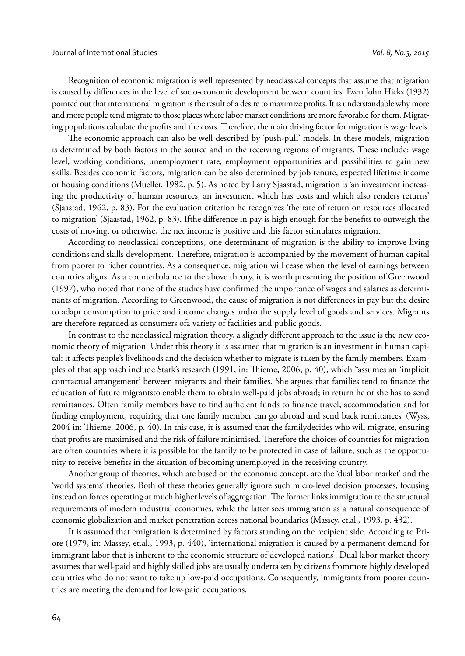Recognition of economic migration is well represented by neoclassical concepts that assume that migration is caused by differences in the level of socio-economic development between countries. Even John Hicks (1932) pointed out that international migration is the result of a desire to maximize profits. It is understandable why more and more people tend migrate to those places where labor market conditions are more favorable for them. Migrating populations calculate the profits and the costs. Therefore, the main driving factor for migration is wage levels.

The economic approach can also be well described by 'push-pull' models. In these models, migration is determined by both factors in the source and in the receiving regions of migrants. These include: wage level, working conditions, unemployment rate, employment opportunities and possibilities to gain new skills. Besides economic factors, migration can be also determined by job tenure, expected lifetime income or housing conditions (Mueller, 1982, p. 5). As noted by Larry Sjaastad, migration is 'an investment increasing the productivity of human resources, an investment which has costs and which also renders returns' (Sjaastad, 1962, p. 83). For the evaluation criterion he recognizes 'the rate of return on resources allocated to migration' (Sjaastad, 1962, p. 83). If the difference in pay is high enough for the benefits to outweigh the costs of moving, or otherwise, the net income is positive and this factor stimulates migration.

According to neoclassical conceptions, one determinant of migration is the ability to improve living conditions and skills development. Therefore, migration is accompanied by the movement of human capital from poorer to richer countries. As a consequence, migration will cease when the level of earnings between countries aligns. As a counterbalance to the above theory, it is worth presenting the position of Greenwood (1997), who noted that none of the studies have confirmed the importance of wages and salaries as determinants of migration. According to Greenwood, the cause of migration is not differences in pay but the desire to adapt consumption to price and income changes andto the supply level of goods and services. Migrants are therefore regarded as consumers ofa variety of facilities and public goods.

In contrast to the neoclassical migration theory, a slightly different approach to the issue is the new economic theory of migration. Under this theory it is assumed that migration is an investment in human capital: it affects people's livelihoods and the decision whether to migrate is taken by the family members. Examples of that approach include Stark's research (1991, in: Thieme, 2006, p. 40), which "assumes an 'implicit contractual arrangement' between migrants and their families. She argues that families tend to finance the education of future migrantsto enable them to obtain well-paid jobs abroad; in return he or she has to send remittances. Often family members have to find sufficient funds to finance travel, accommodation and for finding employment, requiring that one family member can go abroad and send back remittances' (Wyss, 2004 in: Thieme, 2006, p. 40). In this case, it is assumed that the familydecides who will migrate, ensuring that profits are maximised and the risk of failure minimised. Therefore the choices of countries for migration are often countries where it is possible for the family to be protected in case of failure, such as the opportunity to receive benefits in the situation of becoming unemployed in the receiving country.

Another group of theories, which are based on the economic concept, are the 'dual labor market' and the 'world systems' theories. Both of these theories generally ignore such micro-level decision processes, focusing instead on forces operating at much higher levels of aggregation. The former links immigration to the structural requirements of modern industrial economies, while the latter sees immigration as a natural consequence of economic globalization and market penetration across national boundaries (Massey, et.al., 1993, p. 432).

It is assumed that emigration is determined by factors standing on the recipient side. According to Priore (1979, in: Massey, et.al., 1993, p. 440), 'international migration is caused by a permanent demand for immigrant labor that is inherent to the economic structure of developed nations'. Dual labor market theory assumes that well-paid and highly skilled jobs are usually undertaken by citizens frommore highly developed countries who do not want to take up low-paid occupations. Consequently, immigrants from poorer countries are meeting the demand for low-paid occupations.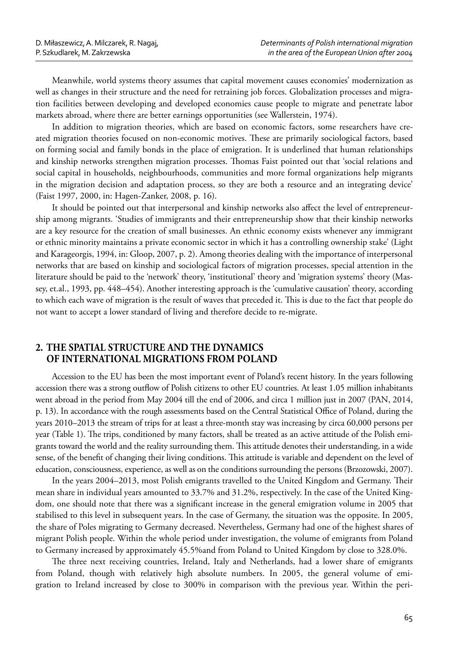Meanwhile, world systems theory assumes that capital movement causes economies' modernization as well as changes in their structure and the need for retraining job forces. Globalization processes and migration facilities between developing and developed economies cause people to migrate and penetrate labor markets abroad, where there are better earnings opportunities (see Wallerstein, 1974).

In addition to migration theories, which are based on economic factors, some researchers have created migration theories focused on non-economic motives. These are primarily sociological factors, based on forming social and family bonds in the place of emigration. It is underlined that human relationships and kinship networks strengthen migration processes. Thomas Faist pointed out that 'social relations and social capital in households, neighbourhoods, communities and more formal organizations help migrants in the migration decision and adaptation process, so they are both a resource and an integrating device' (Faist 1997, 2000, in: Hagen-Zanker, 2008, p. 16).

It should be pointed out that interpersonal and kinship networks also affect the level of entrepreneurship among migrants. 'Studies of immigrants and their entrepreneurship show that their kinship networks are a key resource for the creation of small businesses. An ethnic economy exists whenever any immigrant or ethnic minority maintains a private economic sector in which it has a controlling ownership stake' (Light and Karageorgis, 1994, in: Gloop, 2007, p. 2). Among theories dealing with the importance of interpersonal networks that are based on kinship and sociological factors of migration processes, special attention in the literature should be paid to the 'network' theory, 'institutional' theory and 'migration systems' theory (Massey, et.al., 1993, pp. 448–454). Another interesting approach is the 'cumulative causation' theory, according to which each wave of migration is the result of waves that preceded it. This is due to the fact that people do not want to accept a lower standard of living and therefore decide to re-migrate.

# **2. THE SPATIAL STRUCTURE AND THE DYNAMICS OF INTERNATIONAL MIGRATIONS FROM POLAND**

Accession to the EU has been the most important event of Poland's recent history. In the years following accession there was a strong outflow of Polish citizens to other EU countries. At least 1.05 million inhabitants went abroad in the period from May 2004 till the end of 2006, and circa 1 million just in 2007 (PAN, 2014, p. 13). In accordance with the rough assessments based on the Central Statistical Office of Poland, during the years 2010–2013 the stream of trips for at least a three-month stay was increasing by circa 60,000 persons per year (Table 1). The trips, conditioned by many factors, shall be treated as an active attitude of the Polish emigrants toward the world and the reality surrounding them. This attitude denotes their understanding, in a wide sense, of the benefit of changing their living conditions. This attitude is variable and dependent on the level of education, consciousness, experience, as well as on the conditions surrounding the persons (Brzozowski, 2007).

In the years 2004–2013, most Polish emigrants travelled to the United Kingdom and Germany. Their mean share in individual years amounted to 33.7% and 31.2%, respectively. In the case of the United Kingdom, one should note that there was a significant increase in the general emigration volume in 2005 that stabilised to this level in subsequent years. In the case of Germany, the situation was the opposite. In 2005, the share of Poles migrating to Germany decreased. Nevertheless, Germany had one of the highest shares of migrant Polish people. Within the whole period under investigation, the volume of emigrants from Poland to Germany increased by approximately 45.5%and from Poland to United Kingdom by close to 328.0%.

The three next receiving countries, Ireland, Italy and Netherlands, had a lower share of emigrants from Poland, though with relatively high absolute numbers. In 2005, the general volume of emigration to Ireland increased by close to 300% in comparison with the previous year. Within the peri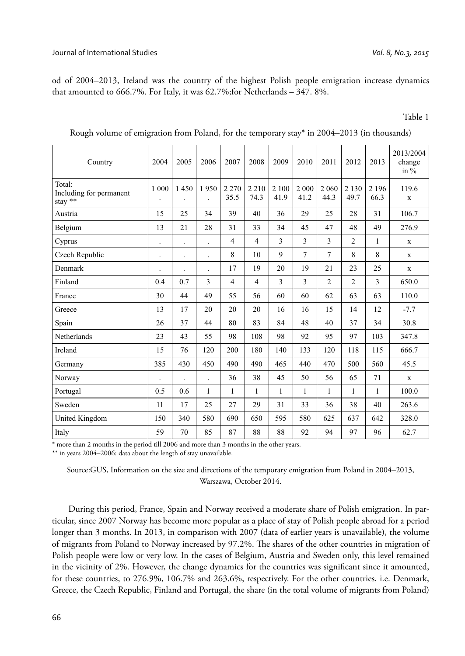od of 2004–2013, Ireland was the country of the highest Polish people emigration increase dynamics that amounted to 666.7%. For Italy, it was 62.7%;for Netherlands – 347. 8%.

Table 1

| Country                                                                               | 2004                 | 2005                 | 2006                 | 2007            | 2008            | 2009          | 2010           | 2011            | 2012            | 2013            | 2013/2004<br>change<br>in $%$ |
|---------------------------------------------------------------------------------------|----------------------|----------------------|----------------------|-----------------|-----------------|---------------|----------------|-----------------|-----------------|-----------------|-------------------------------|
| Total:<br>Including for permanent<br>$\frac{\text{stay} \cdot \ast\ast}{\text{stay}}$ | 1 000                | 1450                 | 1950                 | 2 2 7 0<br>35.5 | 2 2 1 0<br>74.3 | 2 100<br>41.9 | 2 000<br>41.2  | 2 0 6 0<br>44.3 | 2 1 3 0<br>49.7 | 2 1 9 6<br>66.3 | 119.6<br>$\mathbf x$          |
| Austria                                                                               | 15                   | 25                   | 34                   | 39              | 40              | 36            | 29             | 25              | 28              | 31              | 106.7                         |
| Belgium                                                                               | 13                   | 21                   | 28                   | 31              | 33              | 34            | 45             | 47              | 48              | 49              | 276.9                         |
| Cyprus                                                                                |                      |                      |                      | $\overline{4}$  | $\overline{4}$  | 3             | 3              | 3               | $\overline{2}$  | 1               | $\mathbf x$                   |
| Czech Republic                                                                        | $\cdot$              | $\ddot{\phantom{0}}$ | $\ddot{\phantom{0}}$ | 8               | 10              | $\mathbf{Q}$  | $\overline{7}$ | $\overline{7}$  | 8               | 8               | $\mathbf x$                   |
| Denmark                                                                               | $\ddot{\phantom{0}}$ |                      | $\ddot{\phantom{0}}$ | 17              | 19              | 20            | 19             | 21              | 23              | 25              | $\mathbf X$                   |
| Finland                                                                               | 0.4                  | 0.7                  | 3                    | $\overline{4}$  | $\overline{4}$  | 3             | 3              | $\overline{2}$  | $\overline{2}$  | 3               | 650.0                         |
| France                                                                                | 30                   | 44                   | 49                   | 55              | 56              | 60            | 60             | 62              | 63              | 63              | 110.0                         |
| Greece                                                                                | 13                   | 17                   | 20                   | 20              | 20              | 16            | 16             | 15              | 14              | 12              | $-7.7$                        |
| Spain                                                                                 | 26                   | 37                   | 44                   | 80              | 83              | 84            | 48             | 40              | 37              | 34              | 30.8                          |
| Netherlands                                                                           | 23                   | 43                   | 55                   | 98              | 108             | 98            | 92             | 95              | 97              | 103             | 347.8                         |
| Ireland                                                                               | 15                   | 76                   | 120                  | 200             | 180             | 140           | 133            | 120             | 118             | 115             | 666.7                         |
| Germany                                                                               | 385                  | 430                  | 450                  | 490             | 490             | 465           | 440            | 470             | 500             | 560             | 45.5                          |
| Norway                                                                                |                      |                      | $\overline{a}$       | 36              | 38              | 45            | 50             | 56              | 65              | 71              | $\mathbf X$                   |
| Portugal                                                                              | 0.5                  | 0.6                  | 1                    | 1               | $\mathbf{1}$    | 1             | 1              | 1               | 1               | 1               | 100.0                         |
| Sweden                                                                                | 11                   | 17                   | 25                   | 27              | 29              | 31            | 33             | 36              | 38              | 40              | 263.6                         |
| United Kingdom                                                                        | 150                  | 340                  | 580                  | 690             | 650             | 595           | 580            | 625             | 637             | 642             | 328.0                         |
| Italy                                                                                 | 59                   | 70                   | 85                   | 87              | 88              | 88            | 92             | 94              | 97              | 96              | 62.7                          |

Rough volume of emigration from Poland, for the temporary stay\* in 2004–2013 (in thousands)

\* more than 2 months in the period till 2006 and more than 3 months in the other years.

\*\* in years 2004–2006: data about the length of stay unavailable.

Source:GUS, Information on the size and directions of the temporary emigration from Poland in 2004–2013, Warszawa, October 2014.

During this period, France, Spain and Norway received a moderate share of Polish emigration. In particular, since 2007 Norway has become more popular as a place of stay of Polish people abroad for a period longer than 3 months. In 2013, in comparison with 2007 (data of earlier years is unavailable), the volume of migrants from Poland to Norway increased by 97.2%. The shares of the other countries in migration of Polish people were low or very low. In the cases of Belgium, Austria and Sweden only, this level remained in the vicinity of 2%. However, the change dynamics for the countries was significant since it amounted, for these countries, to 276.9%, 106.7% and 263.6%, respectively. For the other countries, i.e. Denmark, Greece, the Czech Republic, Finland and Portugal, the share (in the total volume of migrants from Poland)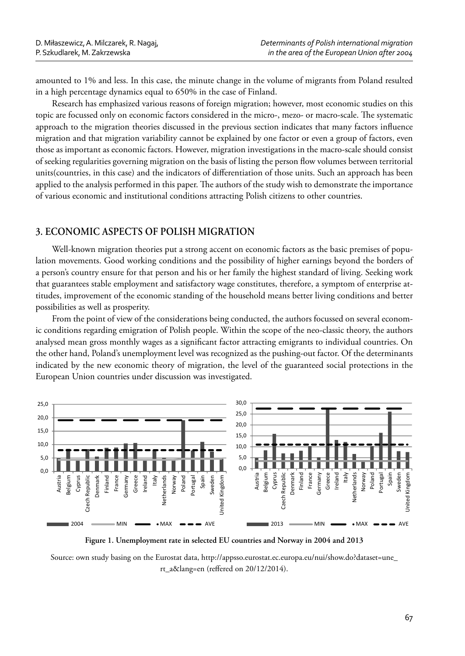amounted to 1% and less. In this case, the minute change in the volume of migrants from Poland resulted in a high percentage dynamics equal to 650% in the case of Finland.

Research has emphasized various reasons of foreign migration; however, most economic studies on this topic are focussed only on economic factors considered in the micro-, mezo- or macro-scale. The systematic approach to the migration theories discussed in the previous section indicates that many factors influence migration and that migration variability cannot be explained by one factor or even a group of factors, even those as important as economic factors. However, migration investigations in the macro-scale should consist of seeking regularities governing migration on the basis of listing the person flow volumes between territorial units(countries, in this case) and the indicators of differentiation of those units. Such an approach has been applied to the analysis performed in this paper. The authors of the study wish to demonstrate the importance of various economic and institutional conditions attracting Polish citizens to other countries.

# **3. ECONOMIC ASPECTS OF POLISH MIGRATION**

Well-known migration theories put a strong accent on economic factors as the basic premises of population movements. Good working conditions and the possibility of higher earnings beyond the borders of a person's country ensure for that person and his or her family the highest standard of living. Seeking work that guarantees stable employment and satisfactory wage constitutes, therefore, a symptom of enterprise attitudes, improvement of the economic standing of the household means better living conditions and better possibilities as well as prosperity.

From the point of view of the considerations being conducted, the authors focussed on several economic conditions regarding emigration of Polish people. Within the scope of the neo-classic theory, the authors analysed mean gross monthly wages as a significant factor attracting emigrants to individual countries. On the other hand, Poland's unemployment level was recognized as the pushing-out factor. Of the determinants indicated by the new economic theory of migration, the level of the guaranteed social protections in the European Union countries under discussion was investigated.



**Figure 1. Unemployment rate in selected EU countries and Norway in 2004 and 2013**

Source: own study basing on the Eurostat data, http://appsso.eurostat.ec.europa.eu/nui/show.do?dataset=une\_ rt\_a&lang=en (reffered on 20/12/2014).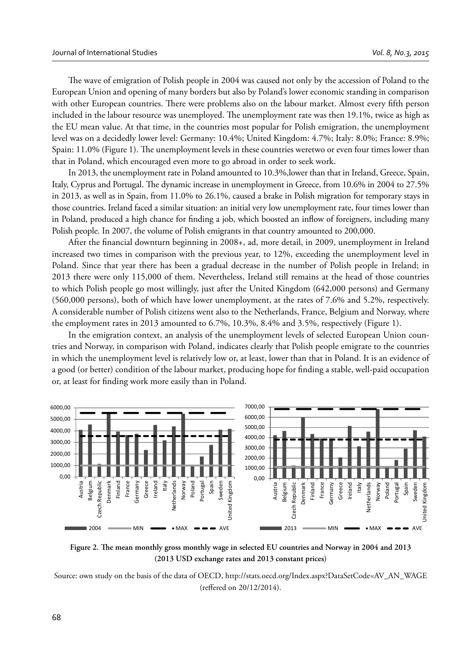The wave of emigration of Polish people in 2004 was caused not only by the accession of Poland to the European Union and opening of many borders but also by Poland's lower economic standing in comparison with other European countries. There were problems also on the labour market. Almost every fifth person included in the labour resource was unemployed. The unemployment rate was then 19.1%, twice as high as the EU mean value. At that time, in the countries most popular for Polish emigration, the unemployment level was on a decidedly lower level: Germany: 10.4%; United Kingdom: 4.7%; Italy: 8.0%; France: 8.9%; Spain: 11.0% (Figure 1). The unemployment levels in these countries weretwo or even four times lower than that in Poland, which encouraged even more to go abroad in order to seek work.

In 2013, the unemployment rate in Poland amounted to 10.3%,lower than that in Ireland, Greece, Spain, Italy, Cyprus and Portugal. The dynamic increase in unemployment in Greece, from 10.6% in 2004 to 27.5% in 2013, as well as in Spain, from 11.0% to 26.1%, caused a brake in Polish migration for temporary stays in those countries. Ireland faced a similar situation: an initial very low unemployment rate, four times lower than in Poland, produced a high chance for finding a job, which boosted an inflow of foreigners, including many Polish people. In 2007, the volume of Polish emigrants in that country amounted to 200,000.

After the financial downturn beginning in 2008+, ad, more detail, in 2009, unemployment in Ireland increased two times in comparison with the previous year, to 12%, exceeding the unemployment level in Poland. Since that year there has been a gradual decrease in the number of Polish people in Ireland; in 2013 there were only 115,000 of them. Nevertheless, Ireland still remains at the head of those countries to which Polish people go most willingly, just after the United Kingdom (642,000 persons) and Germany (560,000 persons), both of which have lower unemployment, at the rates of 7.6% and 5.2%, respectively. A considerable number of Polish citizens went also to the Netherlands, France, Belgium and Norway, where the employment rates in 2013 amounted to 6.7%, 10.3%, 8.4% and 3.5%, respectively (Figure 1).

In the emigration context, an analysis of the unemployment levels of selected European Union countries and Norway, in comparison with Poland, indicates clearly that Polish people emigrate to the countries in which the unemployment level is relatively low or, at least, lower than that in Poland. It is an evidence of a good (or better) condition of the labour market, producing hope for finding a stable, well-paid occupation or, at least for finding work more easily than in Poland.



Figure 2. The mean monthly gross monthly wage in selected EU countries and Norway in 2004 and 2013 **(2013 USD exchange rates and 2013 constant prices)**

Source: own study on the basis of the data of OECD, http://stats.oecd.org/Index.aspx?DataSetCode=AV\_AN\_WAGE (reffered on 20/12/2014).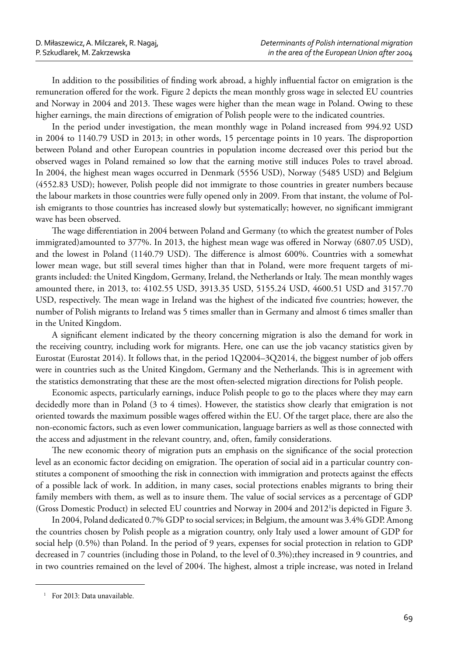In addition to the possibilities of finding work abroad, a highly influential factor on emigration is the remuneration offered for the work. Figure 2 depicts the mean monthly gross wage in selected EU countries and Norway in 2004 and 2013. These wages were higher than the mean wage in Poland. Owing to these higher earnings, the main directions of emigration of Polish people were to the indicated countries.

In the period under investigation, the mean monthly wage in Poland increased from 994.92 USD in 2004 to 1140.79 USD in 2013; in other words, 15 percentage points in 10 years. The disproportion between Poland and other European countries in population income decreased over this period but the observed wages in Poland remained so low that the earning motive still induces Poles to travel abroad. In 2004, the highest mean wages occurred in Denmark (5556 USD), Norway (5485 USD) and Belgium (4552.83 USD); however, Polish people did not immigrate to those countries in greater numbers because the labour markets in those countries were fully opened only in 2009. From that instant, the volume of Polish emigrants to those countries has increased slowly but systematically; however, no significant immigrant wave has been observed.

The wage differentiation in 2004 between Poland and Germany (to which the greatest number of Poles immigrated)amounted to 377%. In 2013, the highest mean wage was offered in Norway (6807.05 USD), and the lowest in Poland (1140.79 USD). The difference is almost 600%. Countries with a somewhat lower mean wage, but still several times higher than that in Poland, were more frequent targets of migrants included: the United Kingdom, Germany, Ireland, the Netherlands or Italy. The mean monthly wages amounted there, in 2013, to: 4102.55 USD, 3913.35 USD, 5155.24 USD, 4600.51 USD and 3157.70 USD, respectively. The mean wage in Ireland was the highest of the indicated five countries; however, the number of Polish migrants to Ireland was 5 times smaller than in Germany and almost 6 times smaller than in the United Kingdom.

A significant element indicated by the theory concerning migration is also the demand for work in the receiving country, including work for migrants. Here, one can use the job vacancy statistics given by Eurostat (Eurostat 2014). It follows that, in the period 1Q2004–3Q2014, the biggest number of job offers were in countries such as the United Kingdom, Germany and the Netherlands. This is in agreement with the statistics demonstrating that these are the most often-selected migration directions for Polish people.

Economic aspects, particularly earnings, induce Polish people to go to the places where they may earn decidedly more than in Poland (3 to 4 times). However, the statistics show clearly that emigration is not oriented towards the maximum possible wages offered within the EU. Of the target place, there are also the non-economic factors, such as even lower communication, language barriers as well as those connected with the access and adjustment in the relevant country, and, often, family considerations.

The new economic theory of migration puts an emphasis on the significance of the social protection level as an economic factor deciding on emigration. The operation of social aid in a particular country constitutes a component of smoothing the risk in connection with immigration and protects against the effects of a possible lack of work. In addition, in many cases, social protections enables migrants to bring their family members with them, as well as to insure them. The value of social services as a percentage of GDP (Gross Domestic Product) in selected EU countries and Norway in 2004 and 2012<sup>1</sup>is depicted in Figure 3.

In 2004, Poland dedicated 0.7% GDP to social services; in Belgium, the amount was 3.4% GDP. Among the countries chosen by Polish people as a migration country, only Italy used a lower amount of GDP for social help (0.5%) than Poland. In the period of 9 years, expenses for social protection in relation to GDP decreased in 7 countries (including those in Poland, to the level of 0.3%);they increased in 9 countries, and in two countries remained on the level of 2004. The highest, almost a triple increase, was noted in Ireland

<sup>&</sup>lt;sup>1</sup> For 2013: Data unavailable.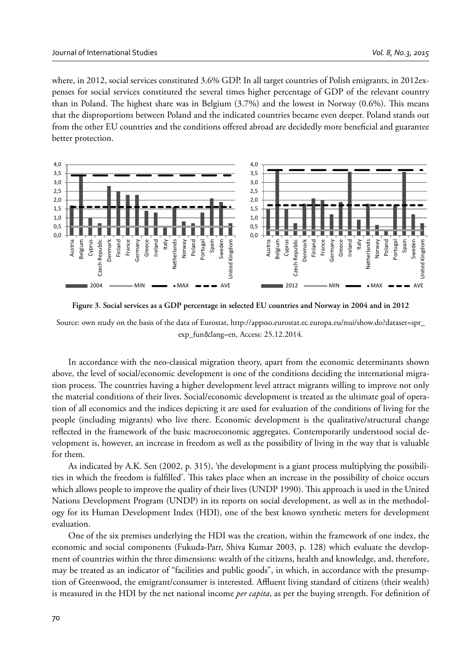where, in 2012, social services constituted 3.6% GDP. In all target countries of Polish emigrants, in 2012expenses for social services constituted the several times higher percentage of GDP of the relevant country than in Poland. The highest share was in Belgium  $(3.7%)$  and the lowest in Norway  $(0.6%)$ . This means that the disproportions between Poland and the indicated countries became even deeper. Poland stands out from the other EU countries and the conditions offered abroad are decidedly more beneficial and guarantee better protection.





Source: own study on the basis of the data of Eurostat, http://appsso.eurostat.ec.europa.eu/nui/show.do?dataset=spr\_ exp\_fun&lang=en, Access: 25.12.2014.

In accordance with the neo-classical migration theory, apart from the economic determinants shown above, the level of social/economic development is one of the conditions deciding the international migration process. The countries having a higher development level attract migrants willing to improve not only the material conditions of their lives. Social/economic development is treated as the ultimate goal of operation of all economics and the indices depicting it are used for evaluation of the conditions of living for the people (including migrants) who live there. Economic development is the qualitative/structural change reflected in the framework of the basic macroeconomic aggregates. Contemporarily understood social development is, however, an increase in freedom as well as the possibility of living in the way that is valuable for them.

As indicated by A.K. Sen (2002, p. 315), 'the development is a giant process multiplying the possibilities in which the freedom is fulfilled'. This takes place when an increase in the possibility of choice occurs which allows people to improve the quality of their lives (UNDP 1990). This approach is used in the United Nations Development Program (UNDP) in its reports on social development, as well as in the methodology for its Human Development Index (HDI), one of the best known synthetic meters for development evaluation.

One of the six premises underlying the HDI was the creation, within the framework of one index, the economic and social components (Fukuda-Parr, Shiva Kumar 2003, p. 128) which evaluate the development of countries within the three dimensions: wealth of the citizens, health and knowledge, and, therefore, may be treated as an indicator of "facilities and public goods", in which, in accordance with the presumption of Greenwood, the emigrant/consumer is interested. Affluent living standard of citizens (their wealth) is measured in the HDI by the net national income *per capita*, as per the buying strength. For definition of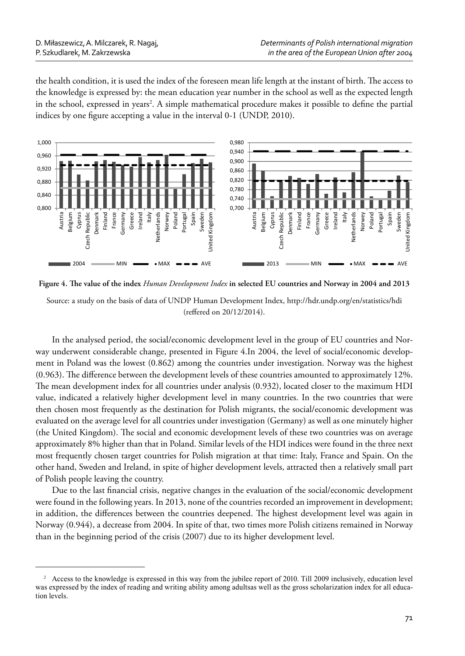the health condition, it is used the index of the foreseen mean life length at the instant of birth. The access to the knowledge is expressed by: the mean education year number in the school as well as the expected length in the school, expressed in years<sup>2</sup>. A simple mathematical procedure makes it possible to define the partial indices by one figure accepting a value in the interval 0-1 (UNDP, 2010).



Figure 4. The value of the index *Human Development Index* in selected EU countries and Norway in 2004 and 2013

Source: a study on the basis of data of UNDP Human Development Index, http://hdr.undp.org/en/statistics/hdi (reffered on 20/12/2014).

In the analysed period, the social/economic development level in the group of EU countries and Norway underwent considerable change, presented in Figure 4.In 2004, the level of social/economic development in Poland was the lowest (0.862) among the countries under investigation. Norway was the highest (0.963). The difference between the development levels of these countries amounted to approximately 12%. The mean development index for all countries under analysis (0.932), located closer to the maximum HDI value, indicated a relatively higher development level in many countries. In the two countries that were then chosen most frequently as the destination for Polish migrants, the social/economic development was evaluated on the average level for all countries under investigation (Germany) as well as one minutely higher (the United Kingdom). The social and economic development levels of these two countries was on average approximately 8% higher than that in Poland. Similar levels of the HDI indices were found in the three next most frequently chosen target countries for Polish migration at that time: Italy, France and Spain. On the other hand, Sweden and Ireland, in spite of higher development levels, attracted then a relatively small part of Polish people leaving the country.

Due to the last financial crisis, negative changes in the evaluation of the social/economic development were found in the following years. In 2013, none of the countries recorded an improvement in development; in addition, the differences between the countries deepened. The highest development level was again in Norway (0.944), a decrease from 2004. In spite of that, two times more Polish citizens remained in Norway than in the beginning period of the crisis (2007) due to its higher development level.

<sup>&</sup>lt;sup>2</sup> Access to the knowledge is expressed in this way from the jubilee report of 2010. Till 2009 inclusively, education level was expressed by the index of reading and writing ability among adultsas well as the gross scholarization index for all education levels.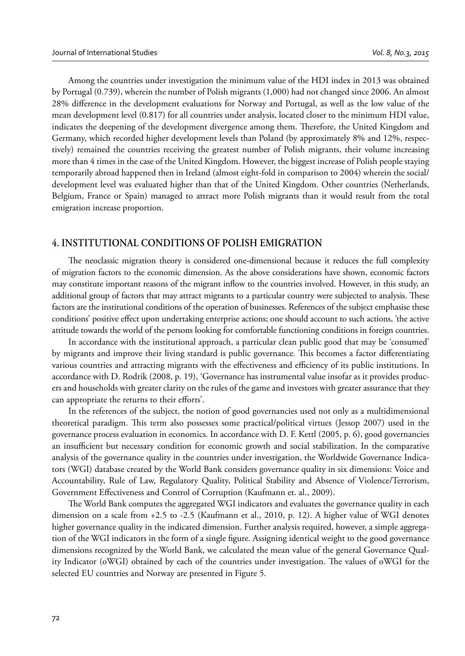Among the countries under investigation the minimum value of the HDI index in 2013 was obtained by Portugal (0.739), wherein the number of Polish migrants (1,000) had not changed since 2006. An almost 28% difference in the development evaluations for Norway and Portugal, as well as the low value of the mean development level (0.817) for all countries under analysis, located closer to the minimum HDI value, indicates the deepening of the development divergence among them. Therefore, the United Kingdom and Germany, which recorded higher development levels than Poland (by approximately 8% and 12%, respectively) remained the countries receiving the greatest number of Polish migrants, their volume increasing more than 4 times in the case of the United Kingdom. However, the biggest increase of Polish people staying temporarily abroad happened then in Ireland (almost eight-fold in comparison to 2004) wherein the social/ development level was evaluated higher than that of the United Kingdom. Other countries (Netherlands, Belgium, France or Spain) managed to attract more Polish migrants than it would result from the total emigration increase proportion.

#### **4. INSTITUTIONAL CONDITIONS OF POLISH EMIGRATION**

The neoclassic migration theory is considered one-dimensional because it reduces the full complexity of migration factors to the economic dimension. As the above considerations have shown, economic factors may constitute important reasons of the migrant inflow to the countries involved. However, in this study, an additional group of factors that may attract migrants to a particular country were subjected to analysis. These factors are the institutional conditions of the operation of businesses. References of the subject emphasise these conditions' positive effect upon undertaking enterprise actions; one should account to such actions, 'the active attitude towards the world of the persons looking for comfortable functioning conditions in foreign countries.

In accordance with the institutional approach, a particular clean public good that may be 'consumed' by migrants and improve their living standard is public governance. This becomes a factor differentiating various countries and attracting migrants with the effectiveness and efficiency of its public institutions. In accordance with D. Rodrik (2008, p. 19), 'Governance has instrumental value insofar as it provides producers and households with greater clarity on the rules of the game and investors with greater assurance that they can appropriate the returns to their efforts'.

In the references of the subject, the notion of good governancies used not only as a multidimensional theoretical paradigm. This term also possesses some practical/political virtues (Jessop 2007) used in the governance process evaluation in economics. In accordance with D. F. Kettl (2005, p. 6), good governancies an insufficient but necessary condition for economic growth and social stabilization. In the comparative analysis of the governance quality in the countries under investigation, the Worldwide Governance Indicators (WGI) database created by the World Bank considers governance quality in six dimensions: Voice and Accountability, Rule of Law, Regulatory Quality, Political Stability and Absence of Violence/Terrorism, Government Effectiveness and Control of Corruption (Kaufmann et. al., 2009).

The World Bank computes the aggregated WGI indicators and evaluates the governance quality in each dimension on a scale from +2.5 to -2.5 (Kaufmann et al., 2010, p. 12). A higher value of WGI denotes higher governance quality in the indicated dimension. Further analysis required, however, a simple aggregation of the WGI indicators in the form of a single figure. Assigning identical weight to the good governance dimensions recognized by the World Bank, we calculated the mean value of the general Governance Quality Indicator (oWGI) obtained by each of the countries under investigation. The values of oWGI for the selected EU countries and Norway are presented in Figure 5.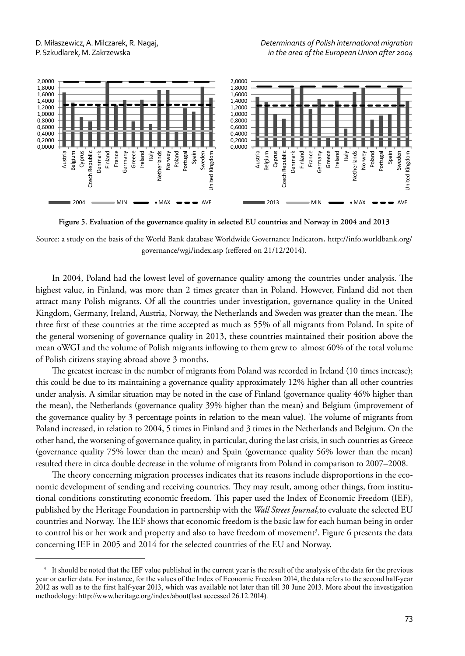

**Figure 5. Evaluation of the governance quality in selected EU countries and Norway in 2004 and 2013**

Source: a study on the basis of the World Bank database Worldwide Governance Indicators, http://info.worldbank.org/ governance/wgi/index.asp (reffered on 21/12/2014).

In 2004, Poland had the lowest level of governance quality among the countries under analysis. The highest value, in Finland, was more than 2 times greater than in Poland. However, Finland did not then attract many Polish migrants. Of all the countries under investigation, governance quality in the United Kingdom, Germany, Ireland, Austria, Norway, the Netherlands and Sweden was greater than the mean. The three first of these countries at the time accepted as much as 55% of all migrants from Poland. In spite of the general worsening of governance quality in 2013, these countries maintained their position above the mean oWGI and the volume of Polish migrants inflowing to them grew to almost 60% of the total volume of Polish citizens staying abroad above 3 months.

The greatest increase in the number of migrants from Poland was recorded in Ireland (10 times increase); this could be due to its maintaining a governance quality approximately 12% higher than all other countries under analysis. A similar situation may be noted in the case of Finland (governance quality 46% higher than the mean), the Netherlands (governance quality 39% higher than the mean) and Belgium (improvement of the governance quality by 3 percentage points in relation to the mean value). The volume of migrants from Poland increased, in relation to 2004, 5 times in Finland and 3 times in the Netherlands and Belgium. On the other hand, the worsening of governance quality, in particular, during the last crisis, in such countries as Greece (governance quality 75% lower than the mean) and Spain (governance quality 56% lower than the mean) resulted there in circa double decrease in the volume of migrants from Poland in comparison to 2007–2008.

The theory concerning migration processes indicates that its reasons include disproportions in the economic development of sending and receiving countries. They may result, among other things, from institutional conditions constituting economic freedom. This paper used the Index of Economic Freedom (IEF), published by the Heritage Foundation in partnership with the *Wall Street Journal*,to evaluate the selected EU countries and Norway. The IEF shows that economic freedom is the basic law for each human being in order to control his or her work and property and also to have freedom of movement<sup>3</sup>. Figure 6 presents the data concerning IEF in 2005 and 2014 for the selected countries of the EU and Norway.

<sup>&</sup>lt;sup>3</sup> It should be noted that the IEF value published in the current year is the result of the analysis of the data for the previous year or earlier data. For instance, for the values of the Index of Economic Freedom 2014, the data refers to the second half-year 2012 as well as to the first half-year 2013, which was available not later than till 30 June 2013. More about the investigation methodology: http://www.heritage.org/index/about(last accessed 26.12.2014).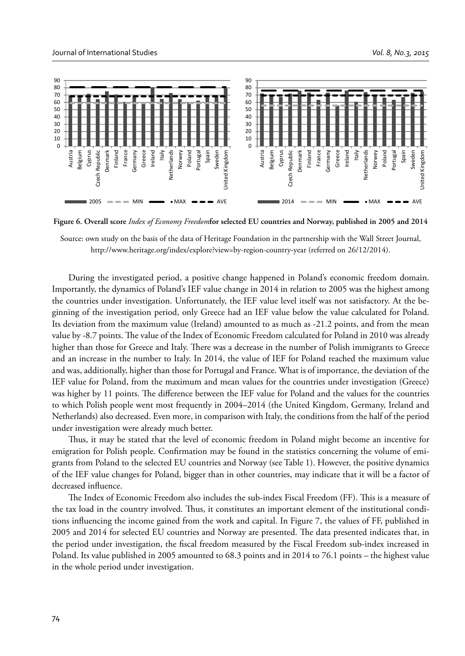

**Figure 6. Overall score** *Index of Economy Freedom***for selected EU countries and Norway, published in 2005 and 2014**

Source: own study on the basis of the data of Heritage Foundation in the partnership with the Wall Street Journal, http://www.heritage.org/index/explore?view=by-region-country-year (referred on 26/12/2014).

During the investigated period, a positive change happened in Poland's economic freedom domain. Importantly, the dynamics of Poland's IEF value change in 2014 in relation to 2005 was the highest among the countries under investigation. Unfortunately, the IEF value level itself was not satisfactory. At the beginning of the investigation period, only Greece had an IEF value below the value calculated for Poland. Its deviation from the maximum value (Ireland) amounted to as much as -21.2 points, and from the mean value by -8.7 points. The value of the Index of Economic Freedom calculated for Poland in 2010 was already higher than those for Greece and Italy. There was a decrease in the number of Polish immigrants to Greece and an increase in the number to Italy. In 2014, the value of IEF for Poland reached the maximum value and was, additionally, higher than those for Portugal and France. What is of importance, the deviation of the IEF value for Poland, from the maximum and mean values for the countries under investigation (Greece) was higher by 11 points. The difference between the IEF value for Poland and the values for the countries to which Polish people went most frequently in 2004–2014 (the United Kingdom, Germany, Ireland and Netherlands) also decreased. Even more, in comparison with Italy, the conditions from the half of the period under investigation were already much better.

Thus, it may be stated that the level of economic freedom in Poland might become an incentive for emigration for Polish people. Confirmation may be found in the statistics concerning the volume of emigrants from Poland to the selected EU countries and Norway (see Table 1). However, the positive dynamics of the IEF value changes for Poland, bigger than in other countries, may indicate that it will be a factor of decreased influence.

The Index of Economic Freedom also includes the sub-index Fiscal Freedom (FF). This is a measure of the tax load in the country involved. Thus, it constitutes an important element of the institutional conditions influencing the income gained from the work and capital. In Figure 7, the values of FF, published in 2005 and 2014 for selected EU countries and Norway are presented. The data presented indicates that, in the period under investigation, the fiscal freedom measured by the Fiscal Freedom sub-index increased in Poland. Its value published in 2005 amounted to 68.3 points and in 2014 to 76.1 points – the highest value in the whole period under investigation.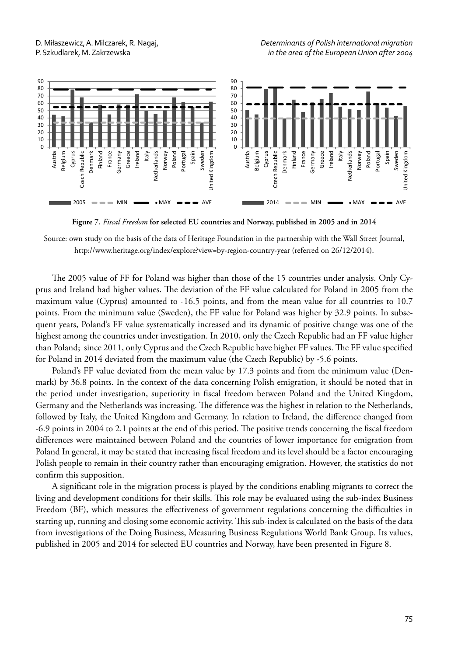

**Figure 7.** *Fiscal Freedom* **for selected EU countries and Norway, published in 2005 and in 2014**

Source: own study on the basis of the data of Heritage Foundation in the partnership with the Wall Street Journal, http://www.heritage.org/index/explore?view=by-region-country-year (referred on 26/12/2014).

The 2005 value of FF for Poland was higher than those of the 15 countries under analysis. Only Cyprus and Ireland had higher values. The deviation of the FF value calculated for Poland in 2005 from the maximum value (Cyprus) amounted to -16.5 points, and from the mean value for all countries to 10.7 points. From the minimum value (Sweden), the FF value for Poland was higher by 32.9 points. In subsequent years, Poland's FF value systematically increased and its dynamic of positive change was one of the highest among the countries under investigation. In 2010, only the Czech Republic had an FF value higher than Poland; since 2011, only Cyprus and the Czech Republic have higher FF values. The FF value specified for Poland in 2014 deviated from the maximum value (the Czech Republic) by -5.6 points.

Poland's FF value deviated from the mean value by 17.3 points and from the minimum value (Denmark) by 36.8 points. In the context of the data concerning Polish emigration, it should be noted that in the period under investigation, superiority in fiscal freedom between Poland and the United Kingdom, Germany and the Netherlands was increasing. The difference was the highest in relation to the Netherlands, followed by Italy, the United Kingdom and Germany. In relation to Ireland, the difference changed from -6.9 points in 2004 to 2.1 points at the end of this period. The positive trends concerning the fiscal freedom differences were maintained between Poland and the countries of lower importance for emigration from Poland In general, it may be stated that increasing fiscal freedom and its level should be a factor encouraging Polish people to remain in their country rather than encouraging emigration. However, the statistics do not confirm this supposition.

A significant role in the migration process is played by the conditions enabling migrants to correct the living and development conditions for their skills. This role may be evaluated using the sub-index Business Freedom (BF), which measures the effectiveness of government regulations concerning the difficulties in starting up, running and closing some economic activity. This sub-index is calculated on the basis of the data from investigations of the Doing Business, Measuring Business Regulations World Bank Group. Its values, published in 2005 and 2014 for selected EU countries and Norway, have been presented in Figure 8.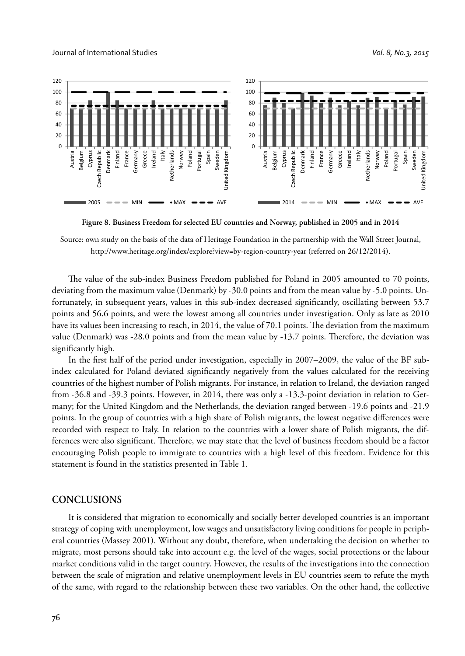

 **Figure 8. Business Freedom for selected EU countries and Norway, published in 2005 and in 2014**

Source: own study on the basis of the data of Heritage Foundation in the partnership with the Wall Street Journal, http://www.heritage.org/index/explore?view=by-region-country-year (referred on 26/12/2014).

The value of the sub-index Business Freedom published for Poland in 2005 amounted to 70 points, deviating from the maximum value (Denmark) by -30.0 points and from the mean value by -5.0 points. Unfortunately, in subsequent years, values in this sub-index decreased significantly, oscillating between 53.7 points and 56.6 points, and were the lowest among all countries under investigation. Only as late as 2010 have its values been increasing to reach, in 2014, the value of 70.1 points. The deviation from the maximum value (Denmark) was -28.0 points and from the mean value by -13.7 points. Therefore, the deviation was significantly high.

In the first half of the period under investigation, especially in  $2007-2009$ , the value of the BF subindex calculated for Poland deviated significantly negatively from the values calculated for the receiving countries of the highest number of Polish migrants. For instance, in relation to Ireland, the deviation ranged from -36.8 and -39.3 points. However, in 2014, there was only a -13.3-point deviation in relation to Germany; for the United Kingdom and the Netherlands, the deviation ranged between -19.6 points and -21.9 points. In the group of countries with a high share of Polish migrants, the lowest negative differences were recorded with respect to Italy. In relation to the countries with a lower share of Polish migrants, the differences were also significant. Therefore, we may state that the level of business freedom should be a factor encouraging Polish people to immigrate to countries with a high level of this freedom. Evidence for this statement is found in the statistics presented in Table 1.

#### **CONCLUSIONS**

It is considered that migration to economically and socially better developed countries is an important strategy of coping with unemployment, low wages and unsatisfactory living conditions for people in peripheral countries (Massey 2001). Without any doubt, therefore, when undertaking the decision on whether to migrate, most persons should take into account e.g. the level of the wages, social protections or the labour market conditions valid in the target country. However, the results of the investigations into the connection between the scale of migration and relative unemployment levels in EU countries seem to refute the myth of the same, with regard to the relationship between these two variables. On the other hand, the collective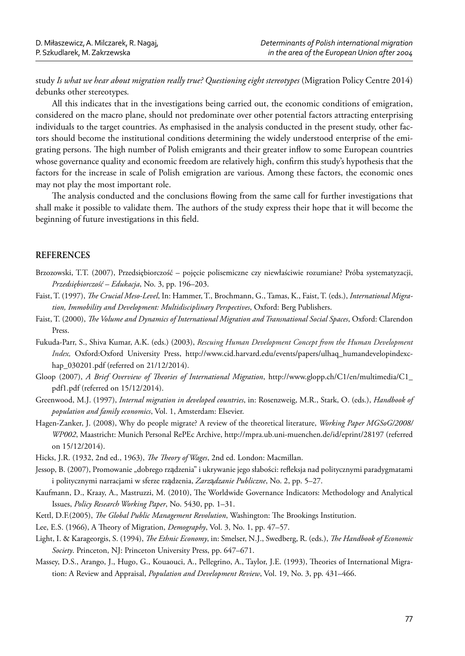study *Is what we hear about migration really true? Questioning eight stereotypes* (Migration Policy Centre 2014) debunks other stereotypes*.*

All this indicates that in the investigations being carried out, the economic conditions of emigration, considered on the macro plane, should not predominate over other potential factors attracting enterprising individuals to the target countries. As emphasised in the analysis conducted in the present study, other factors should become the institutional conditions determining the widely understood enterprise of the emigrating persons. The high number of Polish emigrants and their greater inflow to some European countries whose governance quality and economic freedom are relatively high, confirm this study's hypothesis that the factors for the increase in scale of Polish emigration are various. Among these factors, the economic ones may not play the most important role.

The analysis conducted and the conclusions flowing from the same call for further investigations that shall make it possible to validate them. The authors of the study express their hope that it will become the beginning of future investigations in this field.

# **REFERENCES**

- Brzozowski, T.T. (2007), Przedsiębiorczość pojęcie polisemiczne czy niewłaściwie rozumiane? Próba systematyzacji, *Przedsiębiorczość – Edukacja*, No. 3, pp. 196–203.
- Faist, T. (1997), *The Crucial Meso-Level*, In: Hammer, T., Brochmann, G., Tamas, K., Faist, T. (eds.), *International Migration, Immobility and Development: Multidisciplinary Perspectives*, Oxford: Berg Publishers.
- Faist, T. (2000), *The Volume and Dynamics of International Migration and Transnational Social Spaces*, Oxford: Clarendon Press.
- Fukuda-Parr, S., Shiva Kumar, A.K. (eds.) (2003), *Rescuing Human Development Concept from the Human Development Index,* Oxford:Oxford University Press, http://www.cid.harvard.edu/events/papers/ulhaq\_humandevelopindexchap\_030201.pdf (referred on 21/12/2014).
- Gloop (2007), *A Brief Overview of Theories of International Migration*, http://www.glopp.ch/C1/en/multimedia/C1\_ pdf1.pdf (referred on 15/12/2014).
- Greenwood, M.J. (1997), *Internal migration in developed countries*, in: Rosenzweig, M.R., Stark, O. (eds.), *Handbook of population and family economics*, Vol. 1, Amsterdam: Elsevier.
- Hagen-Zanker, J. (2008), Why do people migrate? A review of the theoretical literature, *Working Paper MGSoG/2008/ WP002*, Maastricht: Munich Personal RePEc Archive, http://mpra.ub.uni-muenchen.de/id/eprint/28197 (referred on 15/12/2014).

Hicks, J.R. (1932, 2nd ed., 1963), *The Theory of Wages*, 2nd ed. London: Macmillan.

- Jessop, B. (2007), Promowanie "dobrego rządzenia" i ukrywanie jego słabości: refleksja nad politycznymi paradygmatami i politycznymi narracjami w sferze rządzenia, *Zarz*ą*dzanie Publiczne*, No. 2, pp. 5–27.
- Kaufmann, D., Kraay, A., Mastruzzi, M. (2010), The Worldwide Governance Indicators: Methodology and Analytical Issues, *Policy Research Working Paper*, No. 5430, pp. 1–31.
- Kettl, D.F.(2005), *The Global Public Management Revolution*, Washington: The Brookings Institution.
- Lee, E.S. (1966), A Theory of Migration, *Demography*, Vol. 3, No. 1, pp. 47–57.
- Light, I. & Karageorgis, S. (1994), *The Ethnic Economy*, in: Smelser, N.J., Swedberg, R. (eds.), *The Handbook of Economic Society*. Princeton, NJ: Princeton University Press, pp. 647–671.
- Massey, D.S., Arango, J., Hugo, G., Kouaouci, A., Pellegrino, A., Taylor, J.E. (1993), Theories of International Migration: A Review and Appraisal, *Population and Development Review*, Vol. 19, No. 3, pp. 431–466.